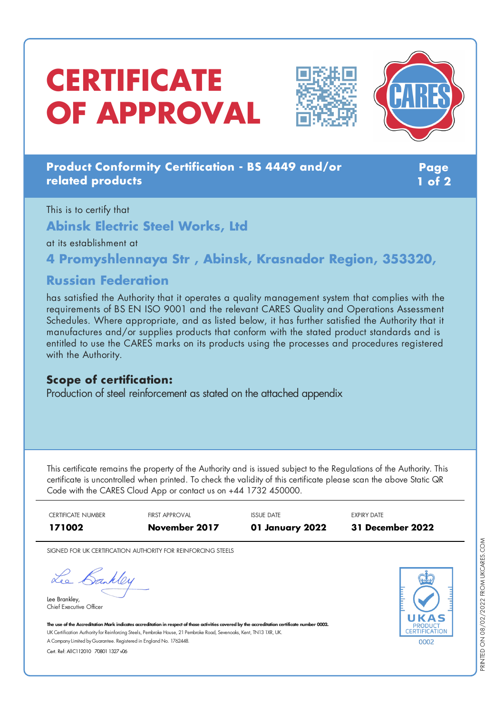# **CERTIFICATE OF APPROVAL**





## **Product Conformity Certification - BS 4449 and/or related products**

**Page 1 of 2**

This is to certify that **Abinsk Electric Steel Works, Ltd** at its establishment at

**4 Promyshlennaya Str , Abinsk, Krasnador Region, 353320,**

## **Russian Federation**

has satisfied the Authority that it operates a quality management system that complies with the requirements of BS EN ISO 9001 and the relevant CARES Quality and Operations Assessment Schedules. Where appropriate, and as listed below, it has further satisfied the Authority that it manufactures and/or supplies products that conform with the stated product standards and is entitled to use the CARES marks on its products using the processes and procedures registered with the Authority.

### **Scope of certification:**

Production of steel reinforcement as stated on the attached appendix

This certificate remains the property of the Authority and is issued subject to the Regulations of the Authority. This certificate is uncontrolled when printed. To check the validity of this certificate please scan the above Static QR Code with the CARES Cloud App or contact us on +44 1732 450000.



SIGNED FOR UK CERTIFICATION AUTHORITY FOR REINFORCING STEELS

Lee Bankley

Lee Brankley, Chief Executive Officer



The use of the Accreditation Mark indicates accreditation in respect of those activities covered by the accreditation certificate number 0002. UK Certification Authority for Reinforcing Steels, Pembroke House, 21 Pembroke Road, Sevenoaks, Kent, TN13 1XR, UK. A CompanyLimited byGuarantee. Registered in England No. 1762448.

Cert. Ref: AllC112010 70801 1327 v06